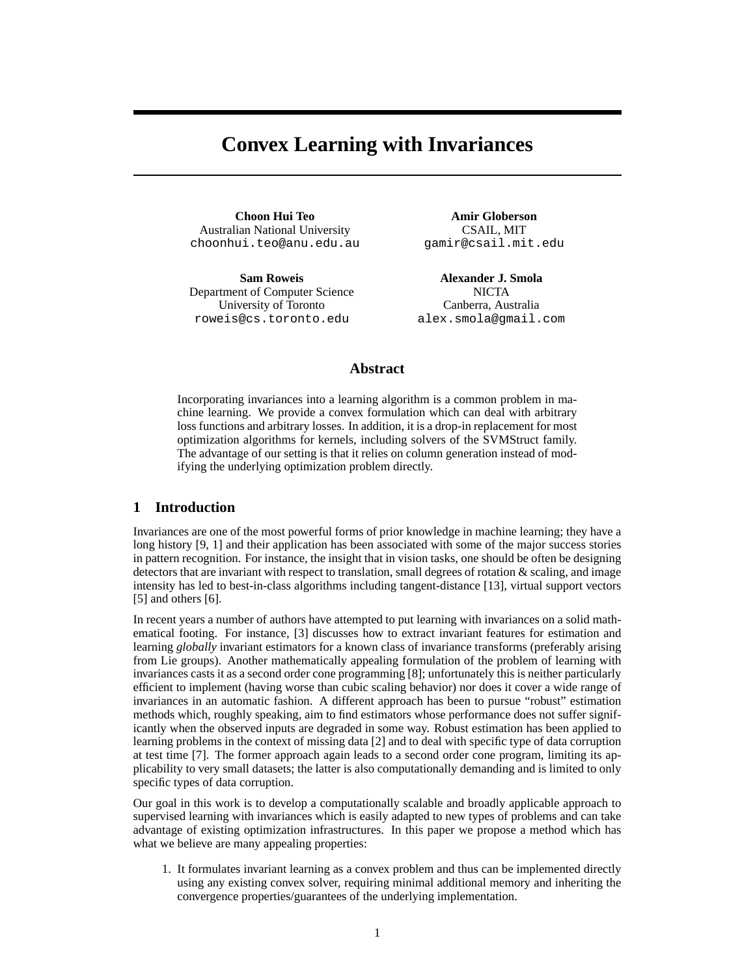# **Convex Learning with Invariances**

**Choon Hui Teo** Australian National University choonhui.teo@anu.edu.au

**Sam Roweis** Department of Computer Science University of Toronto roweis@cs.toronto.edu

**Amir Globerson** CSAIL, MIT gamir@csail.mit.edu

**Alexander J. Smola NICTA** Canberra, Australia alex.smola@gmail.com

# **Abstract**

Incorporating invariances into a learning algorithm is a common problem in machine learning. We provide a convex formulation which can deal with arbitrary loss functions and arbitrary losses. In addition, it is a drop-in replacement for most optimization algorithms for kernels, including solvers of the SVMStruct family. The advantage of our setting is that it relies on column generation instead of modifying the underlying optimization problem directly.

# **1 Introduction**

Invariances are one of the most powerful forms of prior knowledge in machine learning; they have a long history [9, 1] and their application has been associated with some of the major success stories in pattern recognition. For instance, the insight that in vision tasks, one should be often be designing detectors that are invariant with respect to translation, small degrees of rotation & scaling, and image intensity has led to best-in-class algorithms including tangent-distance [13], virtual support vectors [5] and others [6].

In recent years a number of authors have attempted to put learning with invariances on a solid mathematical footing. For instance, [3] discusses how to extract invariant features for estimation and learning *globally* invariant estimators for a known class of invariance transforms (preferably arising from Lie groups). Another mathematically appealing formulation of the problem of learning with invariances casts it as a second order cone programming [8]; unfortunately this is neither particularly efficient to implement (having worse than cubic scaling behavior) nor does it cover a wide range of invariances in an automatic fashion. A different approach has been to pursue "robust" estimation methods which, roughly speaking, aim to find estimators whose performance does not suffer significantly when the observed inputs are degraded in some way. Robust estimation has been applied to learning problems in the context of missing data [2] and to deal with specific type of data corruption at test time [7]. The former approach again leads to a second order cone program, limiting its applicability to very small datasets; the latter is also computationally demanding and is limited to only specific types of data corruption.

Our goal in this work is to develop a computationally scalable and broadly applicable approach to supervised learning with invariances which is easily adapted to new types of problems and can take advantage of existing optimization infrastructures. In this paper we propose a method which has what we believe are many appealing properties:

1. It formulates invariant learning as a convex problem and thus can be implemented directly using any existing convex solver, requiring minimal additional memory and inheriting the convergence properties/guarantees of the underlying implementation.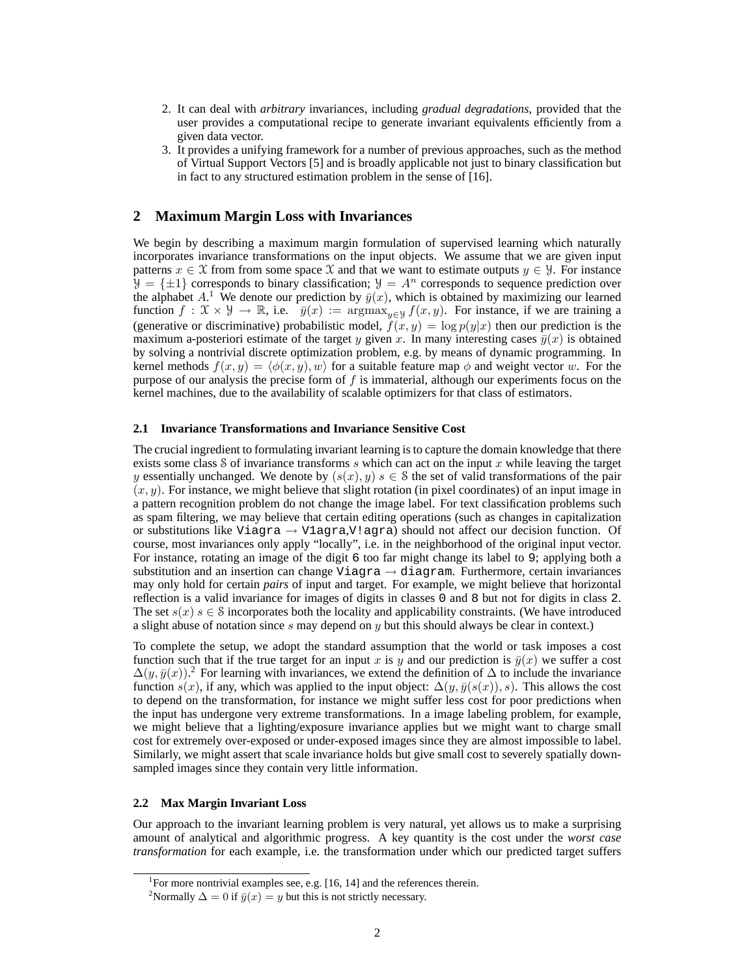- 2. It can deal with *arbitrary* invariances, including *gradual degradations*, provided that the user provides a computational recipe to generate invariant equivalents efficiently from a given data vector.
- 3. It provides a unifying framework for a number of previous approaches, such as the method of Virtual Support Vectors [5] and is broadly applicable not just to binary classification but in fact to any structured estimation problem in the sense of [16].

# **2 Maximum Margin Loss with Invariances**

We begin by describing a maximum margin formulation of supervised learning which naturally incorporates invariance transformations on the input objects. We assume that we are given input patterns  $x \in \mathcal{X}$  from from some space X and that we want to estimate outputs  $y \in \mathcal{Y}$ . For instance  $\mathcal{Y} = {\pm 1}$  corresponds to binary classification;  $\mathcal{Y} = A^n$  corresponds to sequence prediction over the alphabet A.<sup>1</sup> We denote our prediction by  $\bar{y}(x)$ , which is obtained by maximizing our learned function  $f: \mathcal{X} \times \mathcal{Y} \to \mathbb{R}$ , i.e.  $\bar{y}(x) := \argmax_{y \in \mathcal{Y}} f(x, y)$ . For instance, if we are training a (generative or discriminative) probabilistic model,  $\tilde{f}(x, y) = \log p(y|x)$  then our prediction is the maximum a-posteriori estimate of the target y given x. In many interesting cases  $\bar{y}(x)$  is obtained by solving a nontrivial discrete optimization problem, e.g. by means of dynamic programming. In kernel methods  $f(x, y) = \langle \phi(x, y), w \rangle$  for a suitable feature map  $\phi$  and weight vector w. For the purpose of our analysis the precise form of  $f$  is immaterial, although our experiments focus on the kernel machines, due to the availability of scalable optimizers for that class of estimators.

#### **2.1 Invariance Transformations and Invariance Sensitive Cost**

The crucial ingredient to formulating invariant learning is to capture the domain knowledge that there exists some class S of invariance transforms s which can act on the input x while leaving the target y essentially unchanged. We denote by  $(s(x), y) s \in S$  the set of valid transformations of the pair  $(x, y)$ . For instance, we might believe that slight rotation (in pixel coordinates) of an input image in a pattern recognition problem do not change the image label. For text classification problems such as spam filtering, we may believe that certain editing operations (such as changes in capitalization or substitutions like Viagra  $\rightarrow$  Vlagra, V!agra) should not affect our decision function. Of course, most invariances only apply "locally", i.e. in the neighborhood of the original input vector. For instance, rotating an image of the digit 6 too far might change its label to 9; applying both a substitution and an insertion can change Viagra  $\rightarrow$  diagram. Furthermore, certain invariances may only hold for certain *pairs* of input and target. For example, we might believe that horizontal reflection is a valid invariance for images of digits in classes 0 and 8 but not for digits in class 2. The set  $s(x)$  s  $\in$  S incorporates both the locality and applicability constraints. (We have introduced a slight abuse of notation since  $s$  may depend on  $y$  but this should always be clear in context.)

To complete the setup, we adopt the standard assumption that the world or task imposes a cost function such that if the true target for an input x is y and our prediction is  $\bar{y}(x)$  we suffer a cost  $\Delta(y, \bar{y}(x))$ .<sup>2</sup> For learning with invariances, we extend the definition of  $\Delta$  to include the invariance function  $s(x)$ , if any, which was applied to the input object:  $\Delta(y, \bar{y}(s(x)), s)$ . This allows the cost to depend on the transformation, for instance we might suffer less cost for poor predictions when the input has undergone very extreme transformations. In a image labeling problem, for example, we might believe that a lighting/exposure invariance applies but we might want to charge small cost for extremely over-exposed or under-exposed images since they are almost impossible to label. Similarly, we might assert that scale invariance holds but give small cost to severely spatially downsampled images since they contain very little information.

### **2.2 Max Margin Invariant Loss**

Our approach to the invariant learning problem is very natural, yet allows us to make a surprising amount of analytical and algorithmic progress. A key quantity is the cost under the *worst case transformation* for each example, i.e. the transformation under which our predicted target suffers

<sup>&</sup>lt;sup>1</sup>For more nontrivial examples see, e.g. [16, 14] and the references therein.

<sup>&</sup>lt;sup>2</sup>Normally  $\Delta = 0$  if  $\bar{y}(x) = y$  but this is not strictly necessary.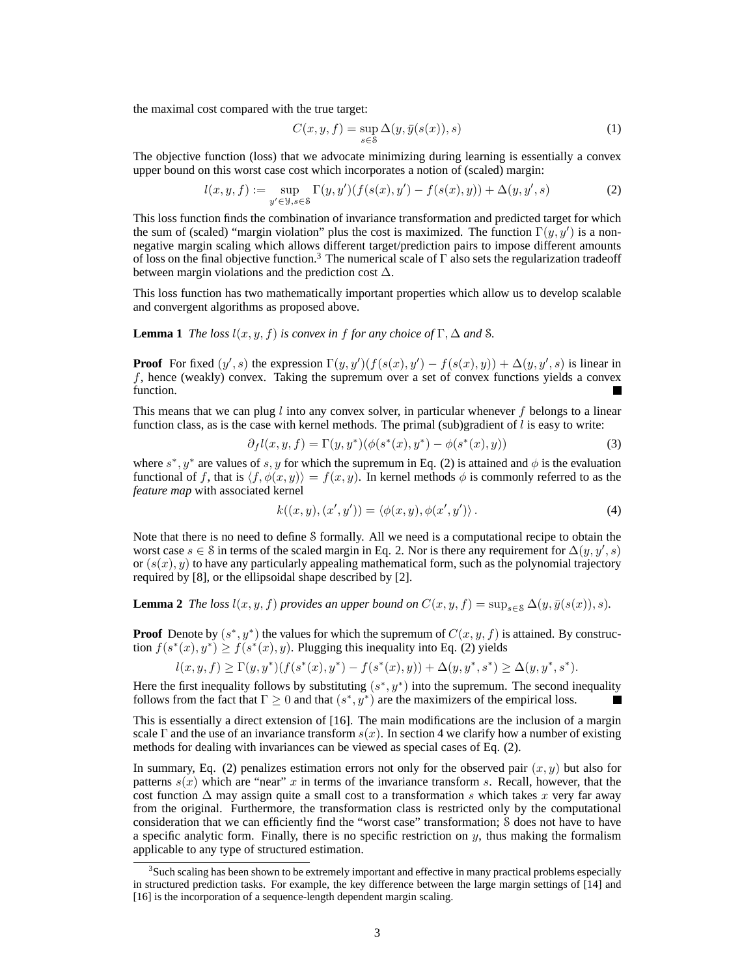the maximal cost compared with the true target:

$$
C(x, y, f) = \sup_{s \in \mathcal{S}} \Delta(y, \bar{y}(s(x)), s)
$$
 (1)

The objective function (loss) that we advocate minimizing during learning is essentially a convex upper bound on this worst case cost which incorporates a notion of (scaled) margin:

$$
l(x, y, f) := \sup_{y' \in \mathcal{Y}, s \in \mathcal{S}} \Gamma(y, y') (f(s(x), y') - f(s(x), y)) + \Delta(y, y', s)
$$
(2)

This loss function finds the combination of invariance transformation and predicted target for which the sum of (scaled) "margin violation" plus the cost is maximized. The function  $\Gamma(y, y')$  is a nonnegative margin scaling which allows different target/prediction pairs to impose different amounts of loss on the final objective function.<sup>3</sup> The numerical scale of Γ also sets the regularization tradeoff between margin violations and the prediction cost  $\Delta$ .

This loss function has two mathematically important properties which allow us to develop scalable and convergent algorithms as proposed above.

**Lemma 1** *The loss*  $l(x, y, f)$  *is convex in f for any choice of* Γ,  $\Delta$  *and S*.

**Proof** For fixed  $(y', s)$  the expression  $\Gamma(y, y') (f(s(x), y') - f(s(x), y)) + \Delta(y, y', s)$  is linear in f, hence (weakly) convex. Taking the supremum over a set of convex functions yields a convex function.

This means that we can plug  $l$  into any convex solver, in particular whenever  $f$  belongs to a linear function class, as is the case with kernel methods. The primal (sub)gradient of  $l$  is easy to write:

$$
\partial_f l(x, y, f) = \Gamma(y, y^*) (\phi(s^*(x), y^*) - \phi(s^*(x), y)) \tag{3}
$$

where  $s^*$ ,  $y^*$  are values of s, y for which the supremum in Eq. (2) is attained and  $\phi$  is the evaluation functional of f, that is  $\langle f, \phi(x, y) \rangle = f(x, y)$ . In kernel methods  $\phi$  is commonly referred to as the *feature map* with associated kernel

$$
k((x, y), (x', y')) = \langle \phi(x, y), \phi(x', y') \rangle.
$$
 (4)

Note that there is no need to define S formally. All we need is a computational recipe to obtain the worst case  $s \in \mathcal{S}$  in terms of the scaled margin in Eq. 2. Nor is there any requirement for  $\Delta(y, y', s)$ or  $(s(x), y)$  to have any particularly appealing mathematical form, such as the polynomial trajectory required by [8], or the ellipsoidal shape described by [2].

**Lemma 2** *The loss*  $l(x, y, f)$  *provides an upper bound on*  $C(x, y, f) = \sup_{s \in S} \Delta(y, \bar{y}(s(x)), s)$ *.* 

**Proof** Denote by  $(s^*, y^*)$  the values for which the supremum of  $C(x, y, f)$  is attained. By construction  $f(s^*(x), y^*) \ge f(s^*(x), y)$ . Plugging this inequality into Eq. (2) yields

$$
l(x, y, f) \ge \Gamma(y, y^*)(f(s^*(x), y^*) - f(s^*(x), y)) + \Delta(y, y^*, s^*) \ge \Delta(y, y^*, s^*).
$$

Here the first inequality follows by substituting  $(s^*, y^*)$  into the supremum. The second inequality follows from the fact that  $\Gamma \geq 0$  and that  $(s^*, y^*)$  are the maximizers of the empirical loss.

This is essentially a direct extension of [16]. The main modifications are the inclusion of a margin scale Γ and the use of an invariance transform  $s(x)$ . In section 4 we clarify how a number of existing methods for dealing with invariances can be viewed as special cases of Eq. (2).

In summary, Eq. (2) penalizes estimation errors not only for the observed pair  $(x, y)$  but also for patterns  $s(x)$  which are "near" x in terms of the invariance transform s. Recall, however, that the cost function  $\Delta$  may assign quite a small cost to a transformation s which takes x very far away from the original. Furthermore, the transformation class is restricted only by the computational consideration that we can efficiently find the "worst case" transformation; S does not have to have a specific analytic form. Finally, there is no specific restriction on  $y$ , thus making the formalism applicable to any type of structured estimation.

<sup>&</sup>lt;sup>3</sup>Such scaling has been shown to be extremely important and effective in many practical problems especially in structured prediction tasks. For example, the key difference between the large margin settings of [14] and [16] is the incorporation of a sequence-length dependent margin scaling.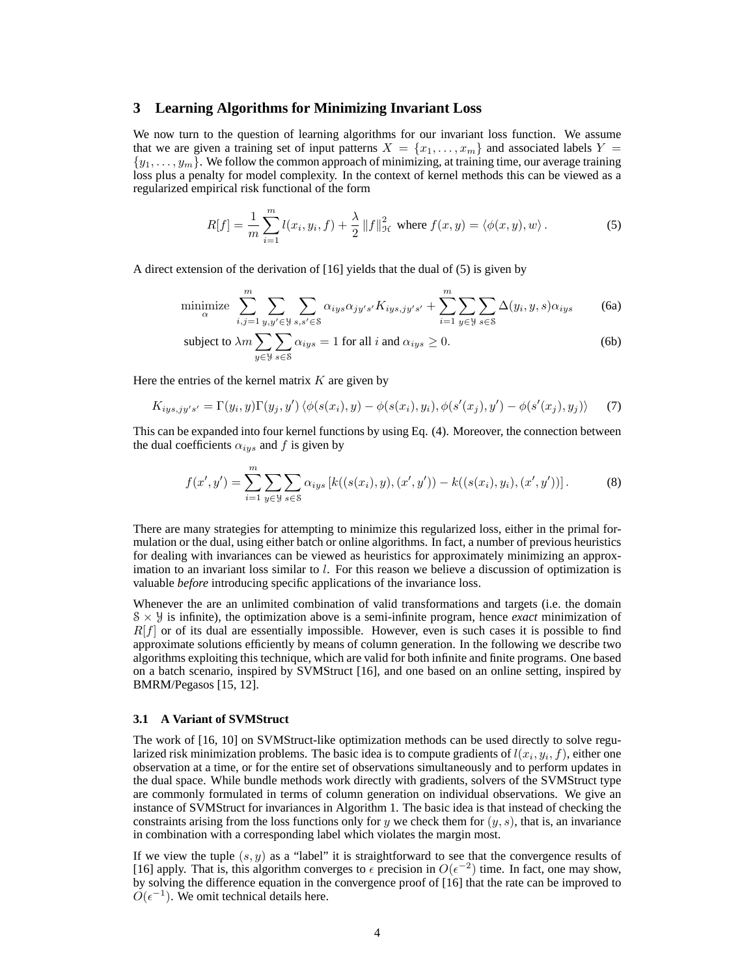## **3 Learning Algorithms for Minimizing Invariant Loss**

We now turn to the question of learning algorithms for our invariant loss function. We assume that we are given a training set of input patterns  $X = \{x_1, \ldots, x_m\}$  and associated labels  $Y =$  $\{y_1, \ldots, y_m\}$ . We follow the common approach of minimizing, at training time, our average training loss plus a penalty for model complexity. In the context of kernel methods this can be viewed as a regularized empirical risk functional of the form

$$
R[f] = \frac{1}{m} \sum_{i=1}^{m} l(x_i, y_i, f) + \frac{\lambda}{2} ||f||_{\mathcal{H}}^2 \text{ where } f(x, y) = \langle \phi(x, y), w \rangle.
$$
 (5)

A direct extension of the derivation of [16] yields that the dual of (5) is given by

$$
\text{minimize}_{\alpha} \sum_{i,j=1}^{m} \sum_{y,y' \in \mathcal{Y}} \sum_{s,s' \in \mathcal{S}} \alpha_{iys} \alpha_{jy's'} K_{iys,jy's'} + \sum_{i=1}^{m} \sum_{y \in \mathcal{Y}} \sum_{s \in \mathcal{S}} \Delta(y_i, y, s) \alpha_{iys} \tag{6a}
$$

subject to 
$$
\lambda m \sum_{y \in \mathcal{Y}} \sum_{s \in \mathcal{S}} \alpha_{iys} = 1
$$
 for all  $i$  and  $\alpha_{iys} \ge 0$ . (6b)

Here the entries of the kernel matrix  $K$  are given by

$$
K_{iys,jy's'} = \Gamma(y_i, y)\Gamma(y_j, y')\langle\phi(s(x_i), y) - \phi(s(x_i), y_i), \phi(s'(x_j), y') - \phi(s'(x_j), y_j)\rangle \tag{7}
$$

This can be expanded into four kernel functions by using Eq. (4). Moreover, the connection between the dual coefficients  $\alpha_{iys}$  and f is given by

$$
f(x', y') = \sum_{i=1}^{m} \sum_{y \in \mathcal{Y}} \sum_{s \in \mathcal{S}} \alpha_{iys} \left[ k((s(x_i), y), (x', y')) - k((s(x_i), y_i), (x', y')) \right].
$$
 (8)

There are many strategies for attempting to minimize this regularized loss, either in the primal formulation or the dual, using either batch or online algorithms. In fact, a number of previous heuristics for dealing with invariances can be viewed as heuristics for approximately minimizing an approximation to an invariant loss similar to  $l$ . For this reason we believe a discussion of optimization is valuable *before* introducing specific applications of the invariance loss.

Whenever the are an unlimited combination of valid transformations and targets (i.e. the domain  $S \times \mathcal{Y}$  is infinite), the optimization above is a semi-infinite program, hence *exact* minimization of  $R[f]$  or of its dual are essentially impossible. However, even is such cases it is possible to find approximate solutions efficiently by means of column generation. In the following we describe two algorithms exploiting this technique, which are valid for both infinite and finite programs. One based on a batch scenario, inspired by SVMStruct [16], and one based on an online setting, inspired by BMRM/Pegasos [15, 12].

### **3.1 A Variant of SVMStruct**

The work of [16, 10] on SVMStruct-like optimization methods can be used directly to solve regularized risk minimization problems. The basic idea is to compute gradients of  $l(x_i, y_i, f)$ , either one observation at a time, or for the entire set of observations simultaneously and to perform updates in the dual space. While bundle methods work directly with gradients, solvers of the SVMStruct type are commonly formulated in terms of column generation on individual observations. We give an instance of SVMStruct for invariances in Algorithm 1. The basic idea is that instead of checking the constraints arising from the loss functions only for y we check them for  $(y, s)$ , that is, an invariance in combination with a corresponding label which violates the margin most.

If we view the tuple  $(s, y)$  as a "label" it is straightforward to see that the convergence results of [16] apply. That is, this algorithm converges to  $\epsilon$  precision in  $O(\epsilon^{-2})$  time. In fact, one may show, by solving the difference equation in the convergence proof of [16] that the rate can be improved to  $O(\epsilon^{-1})$ . We omit technical details here.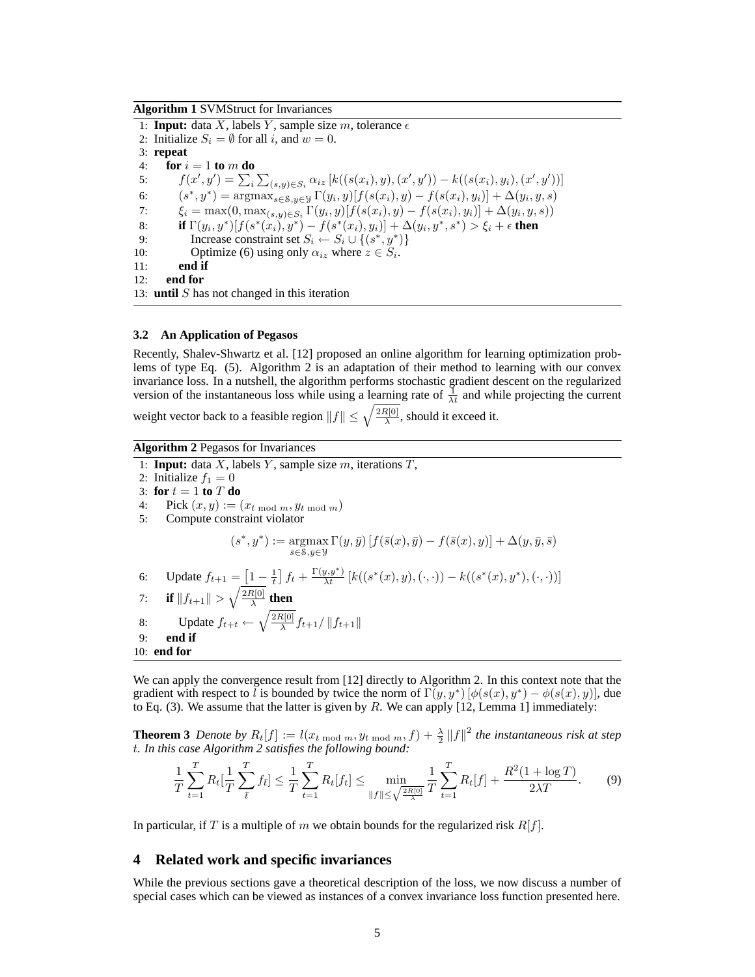### **Algorithm 1** SVMStruct for Invariances

1: **Input:** data X, labels Y, sample size m, tolerance  $\epsilon$ 2: Initialize  $S_i = \emptyset$  for all i, and  $w = 0$ . 3: **repeat** 4: **for**  $i = 1$  **to**  $m$  **do** 5:  $f(x', y') = \sum_{i} \sum_{(s, y) \in S_i} \alpha_{iz} [k((s(x_i), y), (x', y')) - k((s(x_i), y_i), (x', y'))]$ 6:  $(s^*, y^*) = \operatorname{argmax}_{s \in S, y \in Y} \Gamma(y_i, y) [f(s(x_i), y) - f(s(x_i), y_i)] + \Delta(y_i, y, s)$ 7:  $\xi_i = \max(0, \max_{(s,y)\in S_i} \Gamma(y_i, y) [f(s(x_i), y) - f(s(x_i), y_i)] + \Delta(y_i, y, s))$ 8: **if**  $\Gamma(y_i, y^*)[f(s^*(x_i), y^*) - f(s^*(x_i), y_i)] + \Delta(y_i, y^*, s^*) > \xi_i + \epsilon$  then 9: Increase constraint set  $S_i \leftarrow S_i \cup \{(s^*, y^*)\}$ 10: Optimize (6) using only  $\alpha_{iz}$  where  $z \in S_i$ . 11: **end if** 12: **end for** 13: **until** S has not changed in this iteration

#### **3.2 An Application of Pegasos**

Recently, Shalev-Shwartz et al. [12] proposed an online algorithm for learning optimization problems of type Eq. (5). Algorithm 2 is an adaptation of their method to learning with our convex invariance loss. In a nutshell, the algorithm performs stochastic gradient descent on the regularized version of the instantaneous loss while using a learning rate of  $\frac{1}{\lambda t}$  and while projecting the current

weight vector back to a feasible region  $||f|| \leq \sqrt{\frac{2R[0]}{\lambda}}$  $\frac{\mathfrak{r}[0]}{\lambda}$ , should it exceed it.

### **Algorithm 2** Pegasos for Invariances

1: **Input:** data  $X$ , labels  $Y$ , sample size  $m$ , iterations  $T$ ,

2: Initialize  $f_1 = 0$ 3: **for**  $t = 1$  **to**  $T$  **do** 

4: Pick  $(x, y) := (x_{t \mod m}, y_{t \mod m})$ 

5: Compute constraint violator

$$
(s^*,y^*) := \operatorname*{argmax}_{\bar{s}\in S,\bar{y}\in \mathcal{Y}} \Gamma(y,\bar{y}) \left[ f(\bar{s}(x),\bar{y}) - f(\bar{s}(x),y) \right] + \Delta(y,\bar{y},\bar{s})
$$

6: Update 
$$
f_{t+1} = \boxed{1 - \frac{1}{t}} f_t + \frac{\Gamma(y, y^*)}{\lambda t} [k((s^*(x), y), (\cdot, \cdot)) - k((s^*(x), y^*), (\cdot, \cdot))]
$$

7: **if** 
$$
||f_{t+1}|| > \sqrt{\frac{2R[0]}{\lambda}}
$$
 **then**  
8: Update  $f_{t+t} \leftarrow \sqrt{\frac{2R[0]}{\lambda}} f_{t+1} / ||f_{t+1}||$ 

- 9: **end if**
- 10: **end for**

We can apply the convergence result from [12] directly to Algorithm 2. In this context note that the gradient with respect to l is bounded by twice the norm of  $\Gamma(y, y^*) [\phi(s(x), y^*) - \phi(s(x), y)]$ , due to Eq. (3). We assume that the latter is given by  $R$ . We can apply [12, Lemma 1] immediately:

**Theorem 3** Denote by  $R_t[f] := l(x_{t \mod m}, y_{t \mod m}, f) + \frac{\lambda}{2} ||f||^2$  the instantaneous risk at step t*. In this case Algorithm 2 satisfies the following bound:*

$$
\frac{1}{T}\sum_{t=1}^{T} R_t[\frac{1}{T}\sum_{\bar{t}}^{T} f_{\bar{t}}] \le \frac{1}{T}\sum_{t=1}^{T} R_t[f_t] \le \min_{\|f\| \le \sqrt{\frac{2R[0]}{\lambda}}} \frac{1}{T}\sum_{t=1}^{T} R_t[f] + \frac{R^2(1 + \log T)}{2\lambda T}.
$$
 (9)

In particular, if T is a multiple of m we obtain bounds for the regularized risk  $R[f]$ .

#### **4 Related work and specific invariances**

While the previous sections gave a theoretical description of the loss, we now discuss a number of special cases which can be viewed as instances of a convex invariance loss function presented here.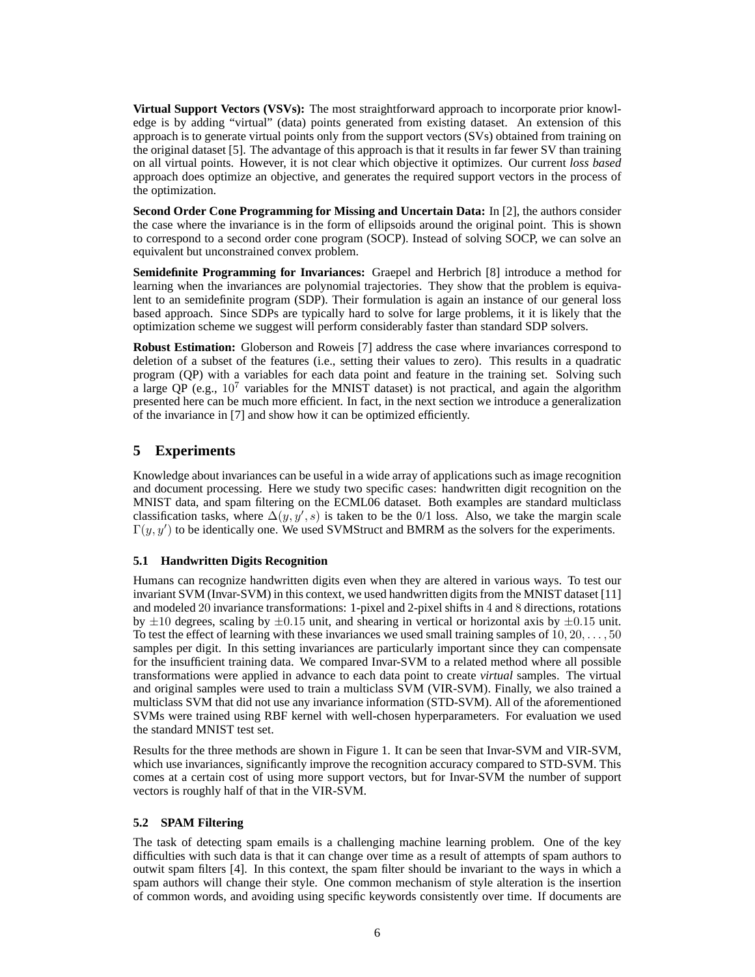**Virtual Support Vectors (VSVs):** The most straightforward approach to incorporate prior knowledge is by adding "virtual" (data) points generated from existing dataset. An extension of this approach is to generate virtual points only from the support vectors (SVs) obtained from training on the original dataset [5]. The advantage of this approach is that it results in far fewer SV than training on all virtual points. However, it is not clear which objective it optimizes. Our current *loss based* approach does optimize an objective, and generates the required support vectors in the process of the optimization.

**Second Order Cone Programming for Missing and Uncertain Data:** In [2], the authors consider the case where the invariance is in the form of ellipsoids around the original point. This is shown to correspond to a second order cone program (SOCP). Instead of solving SOCP, we can solve an equivalent but unconstrained convex problem.

**Semidefinite Programming for Invariances:** Graepel and Herbrich [8] introduce a method for learning when the invariances are polynomial trajectories. They show that the problem is equivalent to an semidefinite program (SDP). Their formulation is again an instance of our general loss based approach. Since SDPs are typically hard to solve for large problems, it it is likely that the optimization scheme we suggest will perform considerably faster than standard SDP solvers.

**Robust Estimation:** Globerson and Roweis [7] address the case where invariances correspond to deletion of a subset of the features (i.e., setting their values to zero). This results in a quadratic program (QP) with a variables for each data point and feature in the training set. Solving such a large QP (e.g.,  $10^7$  variables for the MNIST dataset) is not practical, and again the algorithm presented here can be much more efficient. In fact, in the next section we introduce a generalization of the invariance in [7] and show how it can be optimized efficiently.

# **5 Experiments**

Knowledge about invariances can be useful in a wide array of applications such as image recognition and document processing. Here we study two specific cases: handwritten digit recognition on the MNIST data, and spam filtering on the ECML06 dataset. Both examples are standard multiclass classification tasks, where  $\Delta(y, y', s)$  is taken to be the 0/1 loss. Also, we take the margin scale  $\Gamma(y, y')$  to be identically one. We used SVMStruct and BMRM as the solvers for the experiments.

# **5.1 Handwritten Digits Recognition**

Humans can recognize handwritten digits even when they are altered in various ways. To test our invariant SVM (Invar-SVM) in this context, we used handwritten digits from the MNIST dataset [11] and modeled 20 invariance transformations: 1-pixel and 2-pixel shifts in 4 and 8 directions, rotations by  $\pm 10$  degrees, scaling by  $\pm 0.15$  unit, and shearing in vertical or horizontal axis by  $\pm 0.15$  unit. To test the effect of learning with these invariances we used small training samples of  $10, 20, \ldots, 50$ samples per digit. In this setting invariances are particularly important since they can compensate for the insufficient training data. We compared Invar-SVM to a related method where all possible transformations were applied in advance to each data point to create *virtual* samples. The virtual and original samples were used to train a multiclass SVM (VIR-SVM). Finally, we also trained a multiclass SVM that did not use any invariance information (STD-SVM). All of the aforementioned SVMs were trained using RBF kernel with well-chosen hyperparameters. For evaluation we used the standard MNIST test set.

Results for the three methods are shown in Figure 1. It can be seen that Invar-SVM and VIR-SVM, which use invariances, significantly improve the recognition accuracy compared to STD-SVM. This comes at a certain cost of using more support vectors, but for Invar-SVM the number of support vectors is roughly half of that in the VIR-SVM.

# **5.2 SPAM Filtering**

The task of detecting spam emails is a challenging machine learning problem. One of the key difficulties with such data is that it can change over time as a result of attempts of spam authors to outwit spam filters [4]. In this context, the spam filter should be invariant to the ways in which a spam authors will change their style. One common mechanism of style alteration is the insertion of common words, and avoiding using specific keywords consistently over time. If documents are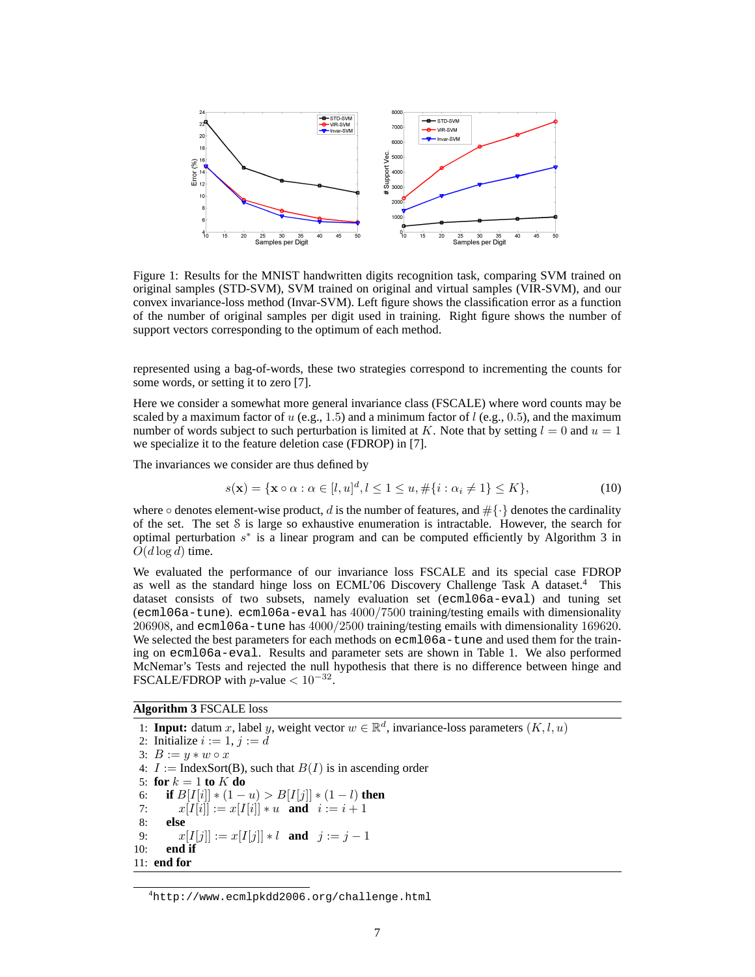

Figure 1: Results for the MNIST handwritten digits recognition task, comparing SVM trained on original samples (STD-SVM), SVM trained on original and virtual samples (VIR-SVM), and our convex invariance-loss method (Invar-SVM). Left figure shows the classification error as a function of the number of original samples per digit used in training. Right figure shows the number of support vectors corresponding to the optimum of each method.

represented using a bag-of-words, these two strategies correspond to incrementing the counts for some words, or setting it to zero [7].

Here we consider a somewhat more general invariance class (FSCALE) where word counts may be scaled by a maximum factor of u (e.g., 1.5) and a minimum factor of l (e.g., 0.5), and the maximum number of words subject to such perturbation is limited at K. Note that by setting  $l = 0$  and  $u = 1$ we specialize it to the feature deletion case (FDROP) in [7].

The invariances we consider are thus defined by

$$
s(\mathbf{x}) = \{ \mathbf{x} \circ \alpha : \alpha \in [l, u]^d, l \le 1 \le u, \#\{i : \alpha_i \neq 1\} \le K \},\tag{10}
$$

where  $\circ$  denotes element-wise product, d is the number of features, and  $\#\{\cdot\}$  denotes the cardinality of the set. The set S is large so exhaustive enumeration is intractable. However, the search for optimal perturbation  $s^*$  is a linear program and can be computed efficiently by Algorithm 3 in  $O(d \log d)$  time.

We evaluated the performance of our invariance loss FSCALE and its special case FDROP as well as the standard hinge loss on ECML'06 Discovery Challenge Task A dataset.<sup>4</sup> This dataset consists of two subsets, namely evaluation set (ecml06a-eval) and tuning set (ecml06a-tune). ecml06a-eval has 4000/7500 training/testing emails with dimensionality 206908, and ecml06a-tune has 4000/2500 training/testing emails with dimensionality 169620. We selected the best parameters for each methods on ecml06a-tune and used them for the training on ecml06a-eval. Results and parameter sets are shown in Table 1. We also performed McNemar's Tests and rejected the null hypothesis that there is no difference between hinge and FSCALE/FDROP with  $p$ -value  $< 10^{-32}$ .

**Algorithm 3** FSCALE loss

1: **Input:** datum x, label y, weight vector  $w \in \mathbb{R}^d$ , invariance-loss parameters  $(K, l, u)$ 2: Initialize  $i := 1$ ,  $j := d$ 3:  $B := y * w \circ x$ 4:  $I := \text{IndexSort}(B)$ , such that  $B(I)$  is in ascending order 5: **for**  $k = 1$  **to**  $K$  **do** 6: **if**  $B[I[i]] * (1 - u) > B[I[j]] * (1 - l)$  **then** 7:  $x[I[i]] := x[I[i]] * u$  **and**  $i := i + 1$ 8: **else** 9:  $x[I[j]] := x[I[j]] * l$  **and**  $j := j - 1$ 10: **end if** 11: **end for**

<sup>4</sup>http://www.ecmlpkdd2006.org/challenge.html